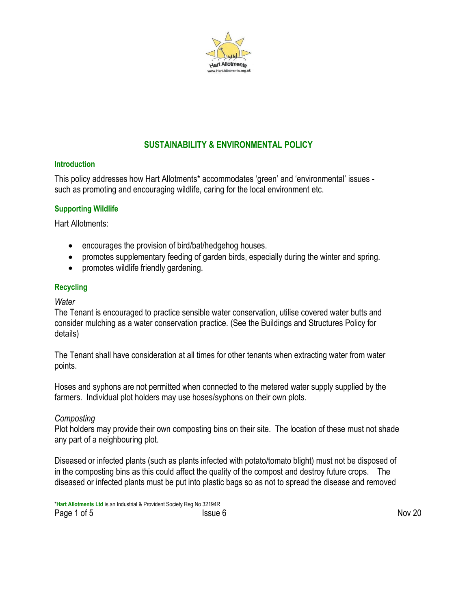

# **SUSTAINABILITY & ENVIRONMENTAL POLICY**

### **Introduction**

This policy addresses how Hart Allotments\* accommodates 'green' and 'environmental' issues such as promoting and encouraging wildlife, caring for the local environment etc.

# **Supporting Wildlife**

Hart Allotments:

- encourages the provision of bird/bat/hedgehog houses.
- promotes supplementary feeding of garden birds, especially during the winter and spring.
- promotes wildlife friendly gardening.

# **Recycling**

*Water*

The Tenant is encouraged to practice sensible water conservation, utilise covered water butts and consider mulching as a water conservation practice. (See the Buildings and Structures Policy for details)

The Tenant shall have consideration at all times for other tenants when extracting water from water points.

Hoses and syphons are not permitted when connected to the metered water supply supplied by the farmers. Individual plot holders may use hoses/syphons on their own plots.

# *Composting*

Plot holders may provide their own composting bins on their site. The location of these must not shade any part of a neighbouring plot.

Diseased or infected plants (such as plants infected with potato/tomato blight) must not be disposed of in the composting bins as this could affect the quality of the compost and destroy future crops. The diseased or infected plants must be put into plastic bags so as not to spread the disease and removed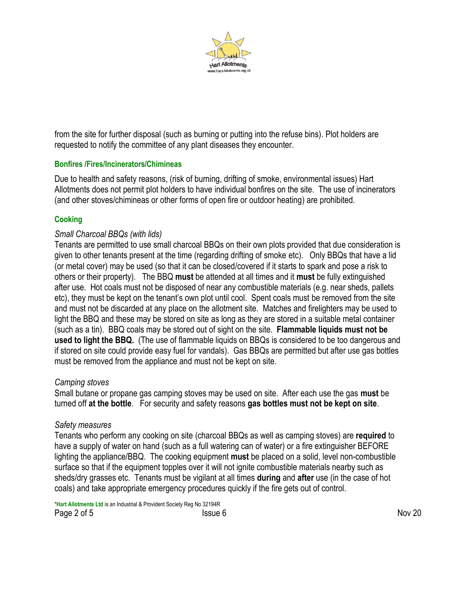

from the site for further disposal (such as burning or putting into the refuse bins). Plot holders are requested to notify the committee of any plant diseases they encounter.

# **Bonfires /Fires/Incinerators/Chimineas**

Due to health and safety reasons, (risk of burning, drifting of smoke, environmental issues) Hart Allotments does not permit plot holders to have individual bonfires on the site. The use of incinerators (and other stoves/chimineas or other forms of open fire or outdoor heating) are prohibited.

# **Cooking**

# *Small Charcoal BBQs (with lids)*

Tenants are permitted to use small charcoal BBQs on their own plots provided that due consideration is given to other tenants present at the time (regarding drifting of smoke etc). Only BBQs that have a lid (or metal cover) may be used (so that it can be closed/covered if it starts to spark and pose a risk to others or their property). The BBQ **must** be attended at all times and it **must** be fully extinguished after use. Hot coals must not be disposed of near any combustible materials (e.g. near sheds, pallets etc), they must be kept on the tenant's own plot until cool. Spent coals must be removed from the site and must not be discarded at any place on the allotment site. Matches and firelighters may be used to light the BBQ and these may be stored on site as long as they are stored in a suitable metal container (such as a tin). BBQ coals may be stored out of sight on the site. **Flammable liquids must not be used to light the BBQ.** (The use of flammable liquids on BBQs is considered to be too dangerous and if stored on site could provide easy fuel for vandals). Gas BBQs are permitted but after use gas bottles must be removed from the appliance and must not be kept on site.

### *Camping stoves*

Small butane or propane gas camping stoves may be used on site. After each use the gas **must** be turned off **at the bottle**. For security and safety reasons **gas bottles must not be kept on site**.

# *Safety measures*

Tenants who perform any cooking on site (charcoal BBQs as well as camping stoves) are **required** to have a supply of water on hand (such as a full watering can of water) or a fire extinguisher BEFORE lighting the appliance/BBQ. The cooking equipment **must** be placed on a solid, level non-combustible surface so that if the equipment topples over it will not ignite combustible materials nearby such as sheds/dry grasses etc. Tenants must be vigilant at all times **during** and **after** use (in the case of hot coals) and take appropriate emergency procedures quickly if the fire gets out of control.

\***Hart Allotments Ltd** is an Industrial & Provident Society Reg No 32194R Page 2 of 5 Nov 20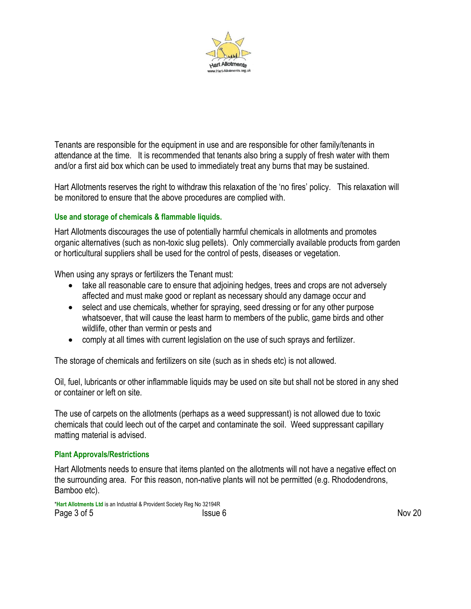

Tenants are responsible for the equipment in use and are responsible for other family/tenants in attendance at the time. It is recommended that tenants also bring a supply of fresh water with them and/or a first aid box which can be used to immediately treat any burns that may be sustained.

Hart Allotments reserves the right to withdraw this relaxation of the 'no fires' policy. This relaxation will be monitored to ensure that the above procedures are complied with.

# **Use and storage of chemicals & flammable liquids.**

Hart Allotments discourages the use of potentially harmful chemicals in allotments and promotes organic alternatives (such as non-toxic slug pellets). Only commercially available products from garden or horticultural suppliers shall be used for the control of pests, diseases or vegetation.

When using any sprays or fertilizers the Tenant must:

- take all reasonable care to ensure that adjoining hedges, trees and crops are not adversely affected and must make good or replant as necessary should any damage occur and
- select and use chemicals, whether for spraying, seed dressing or for any other purpose whatsoever, that will cause the least harm to members of the public, game birds and other wildlife, other than vermin or pests and
- comply at all times with current legislation on the use of such sprays and fertilizer.

The storage of chemicals and fertilizers on site (such as in sheds etc) is not allowed.

Oil, fuel, lubricants or other inflammable liquids may be used on site but shall not be stored in any shed or container or left on site.

The use of carpets on the allotments (perhaps as a weed suppressant) is not allowed due to toxic chemicals that could leech out of the carpet and contaminate the soil. Weed suppressant capillary matting material is advised.

### **Plant Approvals/Restrictions**

Hart Allotments needs to ensure that items planted on the allotments will not have a negative effect on the surrounding area. For this reason, non-native plants will not be permitted (e.g. Rhododendrons, Bamboo etc).

\***Hart Allotments Ltd** is an Industrial & Provident Society Reg No 32194R Page 3 of 5 Nov 20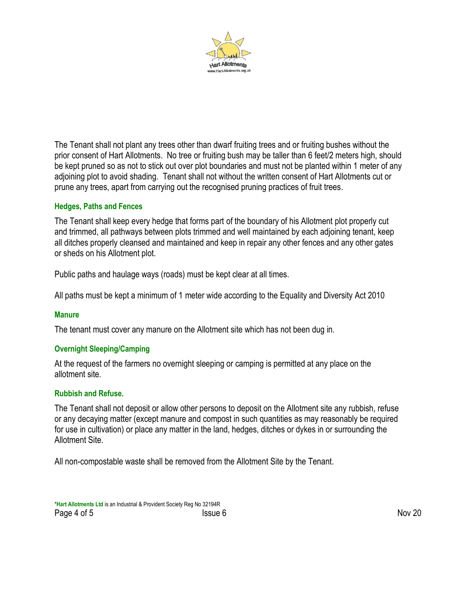

The Tenant shall not plant any trees other than dwarf fruiting trees and or fruiting bushes without the prior consent of Hart Allotments. No tree or fruiting bush may be taller than 6 feet/2 meters high, should be kept pruned so as not to stick out over plot boundaries and must not be planted within 1 meter of any adjoining plot to avoid shading. Tenant shall not without the written consent of Hart Allotments cut or prune any trees, apart from carrying out the recognised pruning practices of fruit trees.

### **Hedges, Paths and Fences**

The Tenant shall keep every hedge that forms part of the boundary of his Allotment plot properly cut and trimmed, all pathways between plots trimmed and well maintained by each adjoining tenant, keep all ditches properly cleansed and maintained and keep in repair any other fences and any other gates or sheds on his Allotment plot.

Public paths and haulage ways (roads) must be kept clear at all times.

All paths must be kept a minimum of 1 meter wide according to the Equality and Diversity Act 2010

#### **Manure**

The tenant must cover any manure on the Allotment site which has not been dug in.

### **Overnight Sleeping/Camping**

At the request of the farmers no overnight sleeping or camping is permitted at any place on the allotment site.

#### **Rubbish and Refuse.**

The Tenant shall not deposit or allow other persons to deposit on the Allotment site any rubbish, refuse or any decaying matter (except manure and compost in such quantities as may reasonably be required for use in cultivation) or place any matter in the land, hedges, ditches or dykes in or surrounding the Allotment Site.

All non-compostable waste shall be removed from the Allotment Site by the Tenant.